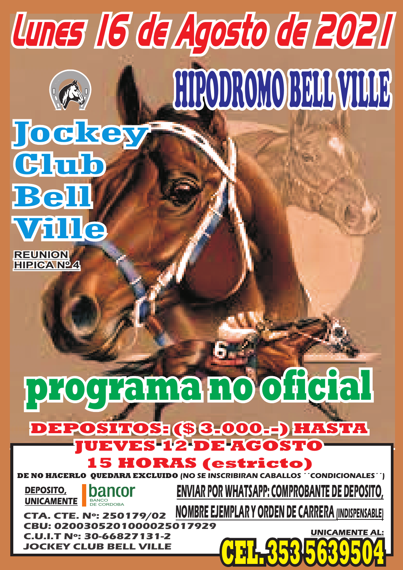**HIPICA Nº 4**

## **REUNION** Glub Bell Ville

# Jockey HIPODROMO BELL VILLE Lunes 16 de Agosto de 2021



# **programa no oficial**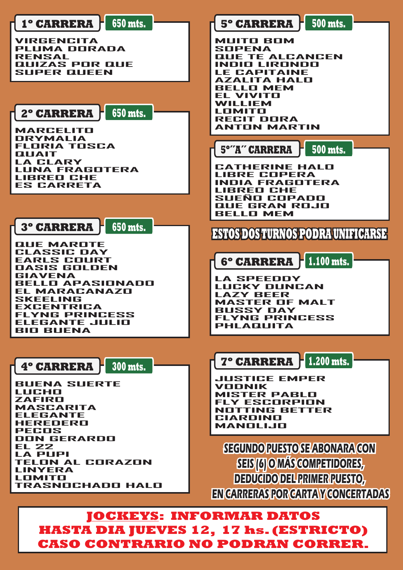.............<br>PECOS<br>DON GERARDO --------<br>DON 0<br>EL 22 **LA PUPI TELON AL CORAZON** LATION<br>TELON A<br>LINYERA LINYERA<br>LOMITO **TRASNOCHADO HALO**



### **JOCKEYS: INFORMAR DATOS HASTA DIA JUEVES 12, 17 hs. (ESTRICTO) CASO CONTRARIO NO PODRAN CORRER.**

**SEGUNDO PUESTO SE ABONARA CON SEIS (6) O MÁS COMPETIDORES, DEDUCIDO DEL PRIMER PUESTO, EN CARRERAS POR CARTA Y CONCERTADAS**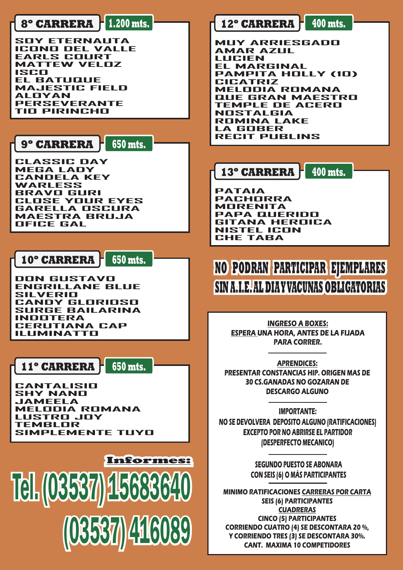**650 mts.**

**650 mts.**

**650 mts.**

**CLASSIC DAY MEGA LADY CANDELA KEY** WARLESS<br>WARLESS<br>BRAVS BL **BRAVO GURI CLOSE YOUR EYES** BRAVE BERT<br>**GLOSE YOUR EYES<br>GARELLA OSCURA MAESTRA BRUJA OANLLLA**<br>MAESTRA<br>OFICE GAL

**400 mts.**

**DON GUSTAVO ENGRILLANE BLUE BUN DUU<br>ENGRILLA<br>SILVERIO CANDY GLORIOSO SILVENIS<br>CANDY GLORIOSO<br>SURGE BAILARINA ISANDT DE<br>SURGE BA<br>INDOTERA CERUTIANA CAP ILUMINATTO**

**PATAIA** PATAIA<br>PACHORRA<br>MBBENITA **MORENITA**<br>MORENITA **PAPA QUERIDO GITANA HEROICA NISTEL ICON<br>BITANA HERI<br>NISTEL ICON CHARA IN**<br>**NISTEL ICI**<br>CHE TABA

**CANTALISIO SHY NANO JAMEELA MELODIA ROMANA LUSTRO JOY** rneebbir<br>LUSTRO <sub>•</sub><br>SIMBLOR **SIMPLEMENTE TUYO**

#### **400 mts. 12º CARRERA**

**MUY ARRIESGADO MUY ARRIE:<br>AMAR AZUL LUCIEN EL MARGINAL PAMPITA HOLLY (10) CL MARS<br>PAMPITA<br>CICATRIZ MELODIA ROMANA QUE GRAN MAESTRO TEMPLE DE ACERO TEMPLE DE<br>NOSTALGIA<br>BOMMA LA ROMINA LAKE LA GOBER RECIT PUBLINS**

#### **9º CARRERA**

**10º CARRERA**

**11º CARRERA**

**13º CARRERA**

#### **1.200 mts. 8º CARRERA**

**SOY ETERNAUTA ICONO DEL VALLE EARLS COURT MATTEW VELOZ MATT**<br>ISCO<br>EL **EL BATUQUE MAJESTIC FIELD** LL DATI<br>MAJEST<br>ALOYAN MADLOTIOTILL<br>ALOYAN<br>PERSEVERANTE **TIO PIRINCHO**

**INGRESO A BOXES: ESPERA UNA HORA, ANTES DE LA FIJADA PARA CORRER.**

**APRENDICES: PRESENTAR CONSTANCIAS HIP. ORIGEN MAS DE 30 CS.GANADAS NO GOZARAN DE DESCARGO ALGUNO**

**IMPORTANTE: NO SE DEVOLVERA DEPOSITO ALGUNO (RATIFICACIONES)**

#### **EXCEPTO POR NO ABRIRSE EL PARTIDOR (DESPERFECTO MECANICO)**

#### **SEGUNDO PUESTO SE ABONARA CON SEIS (6) O MÁS PARTICIPANTES**

#### **MINIMO RATIFICACIONES CARRERAS POR CARTA SEIS (6) PARTICIPANTES CUADRERAS CINCO (5) PARTICIPANTES CORRIENDO CUATRO (4) SE DESCONTARA 20 %, Y CORRIENDO TRES (3) SE DESCONTARA 30%. CANT. MAXIMA 10 COMPETIDORES**



**NO PODRAN PARTICIPAR EJEMPLARES SIN A.I.E.AL DIAYVACUNAS OBLIGATORIAS**